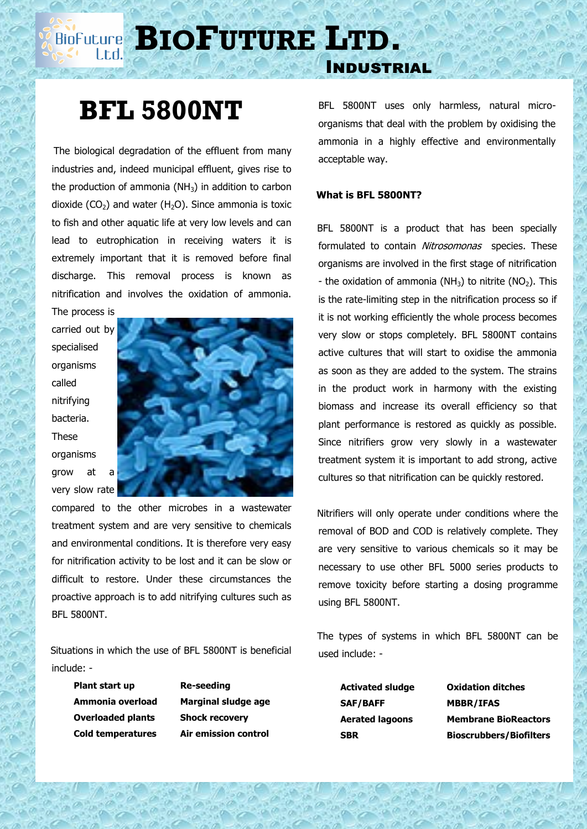# **BIOFUTURE** LTD.

### Industrial

# **BFL 5800NT**

 The biological degradation of the effluent from many industries and, indeed municipal effluent, gives rise to the production of ammonia ( $NH<sub>3</sub>$ ) in addition to carbon dioxide  $(CO<sub>2</sub>)$  and water  $(H<sub>2</sub>O)$ . Since ammonia is toxic to fish and other aquatic life at very low levels and can lead to eutrophication in receiving waters it is extremely important that it is removed before final discharge. This removal process is known as nitrification and involves the oxidation of ammonia.

The process is carried out by specialised organisms called nitrifying bacteria. These organisms grow at a very slow rate



compared to the other microbes in a wastewater treatment system and are very sensitive to chemicals and environmental conditions. It is therefore very easy for nitrification activity to be lost and it can be slow or difficult to restore. Under these circumstances the proactive approach is to add nitrifying cultures such as BFL 5800NT.

 Situations in which the use of BFL 5800NT is beneficial include: -

**Plant start up Re-seeding Overloaded plants Shock recovery**

**Ammonia overload Marginal sludge age Cold temperatures Air emission control**

BFL 5800NT uses only harmless, natural microorganisms that deal with the problem by oxidising the ammonia in a highly effective and environmentally acceptable way.

### **What is BFL 5800NT?**

 BFL 5800NT is a product that has been specially formulated to contain Nitrosomonas species. These organisms are involved in the first stage of nitrification - the oxidation of ammonia ( $NH<sub>3</sub>$ ) to nitrite ( $NO<sub>2</sub>$ ). This is the rate-limiting step in the nitrification process so if it is not working efficiently the whole process becomes very slow or stops completely. BFL 5800NT contains active cultures that will start to oxidise the ammonia as soon as they are added to the system. The strains in the product work in harmony with the existing biomass and increase its overall efficiency so that plant performance is restored as quickly as possible. Since nitrifiers grow very slowly in a wastewater treatment system it is important to add strong, active cultures so that nitrification can be quickly restored.

 Nitrifiers will only operate under conditions where the removal of BOD and COD is relatively complete. They are very sensitive to various chemicals so it may be necessary to use other BFL 5000 series products to remove toxicity before starting a dosing programme using BFL 5800NT.

 The types of systems in which BFL 5800NT can be used include: -

**SAF/BAFF MBBR/IFAS**

**Activated sludge Oxidation ditches Aerated lagoons Membrane BioReactors SBR Bioscrubbers/Biofilters**